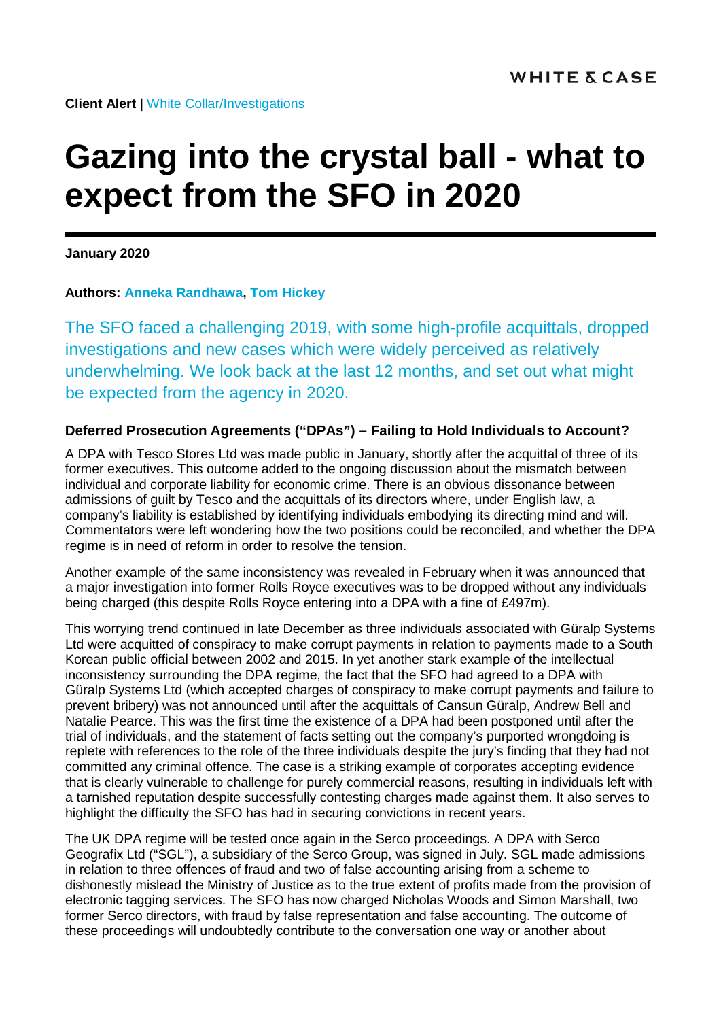**Client Alert** | [White Collar/Investigations](https://www.whitecase.com/law/practices/white-collar-investigations)

# **Gazing into the crystal ball - what to expect from the SFO in 2020**

**January 2020**

**Authors: [Anneka Randhawa,](https://www.whitecase.com/people/anneka-randhawa) [Tom Hickey](https://www.whitecase.com/people/tom-hickey)**

The SFO faced a challenging 2019, with some high-profile acquittals, dropped investigations and new cases which were widely perceived as relatively underwhelming. We look back at the last 12 months, and set out what might be expected from the agency in 2020.

## **Deferred Prosecution Agreements ("DPAs") – Failing to Hold Individuals to Account?**

A DPA with Tesco Stores Ltd was made public in January, shortly after the acquittal of three of its former executives. This outcome added to the ongoing discussion about the mismatch between individual and corporate liability for economic crime. There is an obvious dissonance between admissions of guilt by Tesco and the acquittals of its directors where, under English law, a company's liability is established by identifying individuals embodying its directing mind and will. Commentators were left wondering how the two positions could be reconciled, and whether the DPA regime is in need of reform in order to resolve the tension.

Another example of the same inconsistency was revealed in February when it was announced that a major investigation into former Rolls Royce executives was to be dropped without any individuals being charged (this despite Rolls Royce entering into a DPA with a fine of £497m).

This worrying trend continued in late December as three individuals associated with Güralp Systems Ltd were acquitted of conspiracy to make corrupt payments in relation to payments made to a South Korean public official between 2002 and 2015. In yet another stark example of the intellectual inconsistency surrounding the DPA regime, the fact that the SFO had agreed to a DPA with Güralp Systems Ltd (which accepted charges of conspiracy to make corrupt payments and failure to prevent bribery) was not announced until after the acquittals of Cansun Güralp, Andrew Bell and Natalie Pearce. This was the first time the existence of a DPA had been postponed until after the trial of individuals, and the statement of facts setting out the company's purported wrongdoing is replete with references to the role of the three individuals despite the jury's finding that they had not committed any criminal offence. The case is a striking example of corporates accepting evidence that is clearly vulnerable to challenge for purely commercial reasons, resulting in individuals left with a tarnished reputation despite successfully contesting charges made against them. It also serves to highlight the difficulty the SFO has had in securing convictions in recent years.

The UK DPA regime will be tested once again in the Serco proceedings. A DPA with Serco Geografix Ltd ("SGL"), a subsidiary of the Serco Group, was signed in July. SGL made admissions in relation to three offences of fraud and two of false accounting arising from a scheme to dishonestly mislead the Ministry of Justice as to the true extent of profits made from the provision of electronic tagging services. The SFO has now charged Nicholas Woods and Simon Marshall, two former Serco directors, with fraud by false representation and false accounting. The outcome of these proceedings will undoubtedly contribute to the conversation one way or another about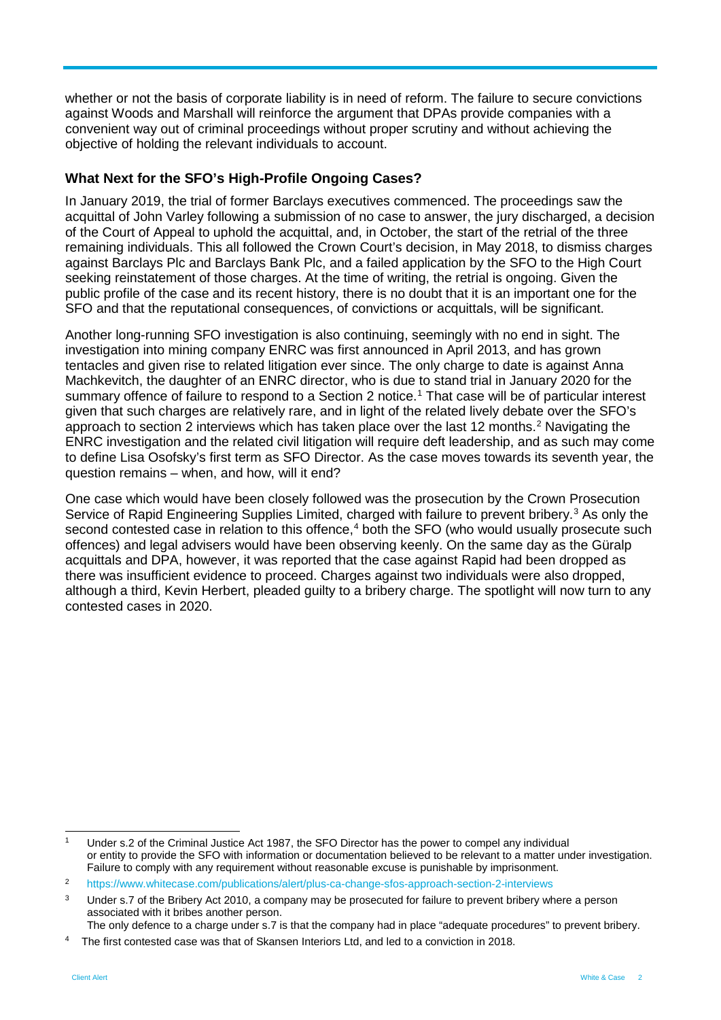whether or not the basis of corporate liability is in need of reform. The failure to secure convictions against Woods and Marshall will reinforce the argument that DPAs provide companies with a convenient way out of criminal proceedings without proper scrutiny and without achieving the objective of holding the relevant individuals to account.

#### **What Next for the SFO's High-Profile Ongoing Cases?**

In January 2019, the trial of former Barclays executives commenced. The proceedings saw the acquittal of John Varley following a submission of no case to answer, the jury discharged, a decision of the Court of Appeal to uphold the acquittal, and, in October, the start of the retrial of the three remaining individuals. This all followed the Crown Court's decision, in May 2018, to dismiss charges against Barclays Plc and Barclays Bank Plc, and a failed application by the SFO to the High Court seeking reinstatement of those charges. At the time of writing, the retrial is ongoing. Given the public profile of the case and its recent history, there is no doubt that it is an important one for the SFO and that the reputational consequences, of convictions or acquittals, will be significant.

Another long-running SFO investigation is also continuing, seemingly with no end in sight. The investigation into mining company ENRC was first announced in April 2013, and has grown tentacles and given rise to related litigation ever since. The only charge to date is against Anna Machkevitch, the daughter of an ENRC director, who is due to stand trial in January 2020 for the summary offence of failure to respond to a Section 2 notice.<sup>[1](#page-1-0)</sup> That case will be of particular interest given that such charges are relatively rare, and in light of the related lively debate over the SFO's approach to section [2](#page-1-1) interviews which has taken place over the last 12 months.<sup>2</sup> Navigating the ENRC investigation and the related civil litigation will require deft leadership, and as such may come to define Lisa Osofsky's first term as SFO Director. As the case moves towards its seventh year, the question remains – when, and how, will it end?

One case which would have been closely followed was the prosecution by the Crown Prosecution Service of Rapid Engineering Supplies Limited, charged with failure to prevent bribery.<sup>[3](#page-1-2)</sup> As only the second contested case in relation to this offence,<sup>[4](#page-1-3)</sup> both the SFO (who would usually prosecute such offences) and legal advisers would have been observing keenly. On the same day as the Güralp acquittals and DPA, however, it was reported that the case against Rapid had been dropped as there was insufficient evidence to proceed. Charges against two individuals were also dropped, although a third, Kevin Herbert, pleaded guilty to a bribery charge. The spotlight will now turn to any contested cases in 2020.

The only defence to a charge under s.7 is that the company had in place "adequate procedures" to prevent bribery.

<span id="page-1-0"></span>Under s.2 of the Criminal Justice Act 1987, the SFO Director has the power to compel any individual or entity to provide the SFO with information or documentation believed to be relevant to a matter under investigation. Failure to comply with any requirement without reasonable excuse is punishable by imprisonment.

<span id="page-1-1"></span><sup>2</sup> <https://www.whitecase.com/publications/alert/plus-ca-change-sfos-approach-section-2-interviews>

<span id="page-1-2"></span><sup>&</sup>lt;sup>3</sup> Under s.7 of the Bribery Act 2010, a company may be prosecuted for failure to prevent bribery where a person associated with it bribes another person.

<span id="page-1-3"></span><sup>4</sup> The first contested case was that of Skansen Interiors Ltd, and led to a conviction in 2018.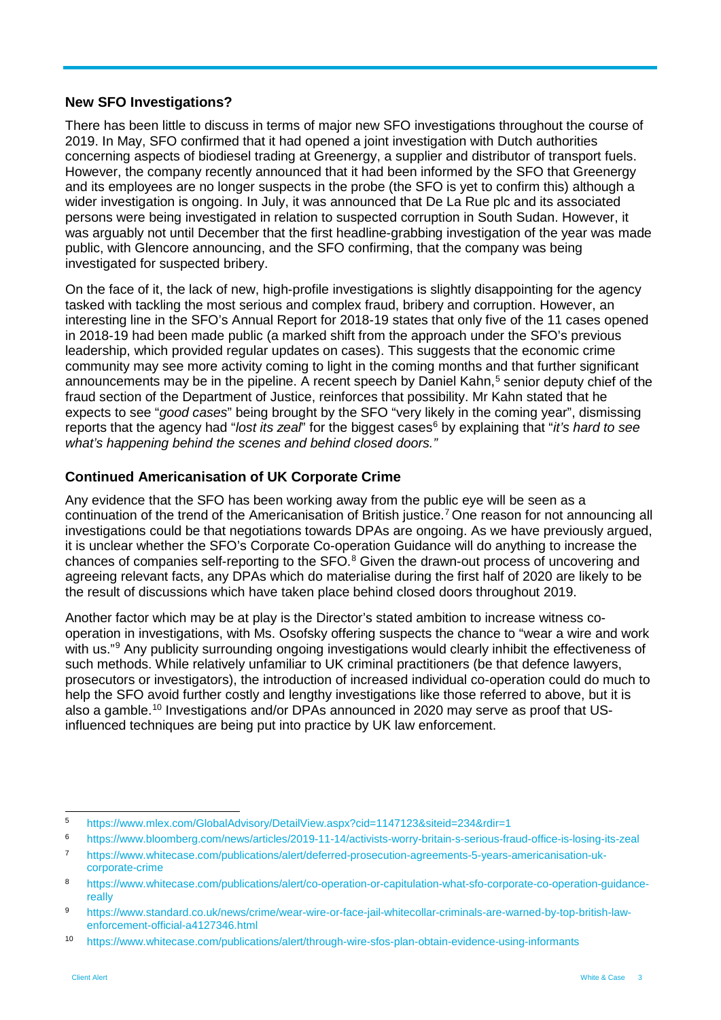#### **New SFO Investigations?**

There has been little to discuss in terms of major new SFO investigations throughout the course of 2019. In May, SFO confirmed that it had opened a joint investigation with Dutch authorities concerning aspects of biodiesel trading at Greenergy, a supplier and distributor of transport fuels. However, the company recently announced that it had been informed by the SFO that Greenergy and its employees are no longer suspects in the probe (the SFO is yet to confirm this) although a wider investigation is ongoing. In July, it was announced that De La Rue plc and its associated persons were being investigated in relation to suspected corruption in South Sudan. However, it was arguably not until December that the first headline-grabbing investigation of the year was made public, with Glencore announcing, and the SFO confirming, that the company was being investigated for suspected bribery.

On the face of it, the lack of new, high-profile investigations is slightly disappointing for the agency tasked with tackling the most serious and complex fraud, bribery and corruption. However, an interesting line in the SFO's Annual Report for 2018-19 states that only five of the 11 cases opened in 2018-19 had been made public (a marked shift from the approach under the SFO's previous leadership, which provided regular updates on cases). This suggests that the economic crime community may see more activity coming to light in the coming months and that further significant announcements may be in the pipeline. A recent speech by Daniel Kahn,<sup>[5](#page-2-0)</sup> senior deputy chief of the fraud section of the Department of Justice, reinforces that possibility. Mr Kahn stated that he expects to see "*good cases*" being brought by the SFO "very likely in the coming year", dismissing reports that the agency had "*lost its zeal*" for the biggest cases<sup>[6](#page-2-1)</sup> by explaining that "*it's hard to see what's happening behind the scenes and behind closed doors."*

### **Continued Americanisation of UK Corporate Crime**

Any evidence that the SFO has been working away from the public eye will be seen as a continuation of the trend of the Americanisation of British justice[.7](#page-2-2) One reason for not announcing all investigations could be that negotiations towards DPAs are ongoing. As we have previously argued, it is unclear whether the SFO's Corporate Co-operation Guidance will do anything to increase the chances of companies self-reporting to the SFO.<sup>[8](#page-2-3)</sup> Given the drawn-out process of uncovering and agreeing relevant facts, any DPAs which do materialise during the first half of 2020 are likely to be the result of discussions which have taken place behind closed doors throughout 2019.

Another factor which may be at play is the Director's stated ambition to increase witness cooperation in investigations, with Ms. Osofsky offering suspects the chance to "wear a wire and work with us."<sup>[9](#page-2-4)</sup> Any publicity surrounding ongoing investigations would clearly inhibit the effectiveness of such methods. While relatively unfamiliar to UK criminal practitioners (be that defence lawyers, prosecutors or investigators), the introduction of increased individual co-operation could do much to help the SFO avoid further costly and lengthy investigations like those referred to above, but it is also a gamble.<sup>[10](#page-2-5)</sup> Investigations and/or DPAs announced in 2020 may serve as proof that USinfluenced techniques are being put into practice by UK law enforcement.

<span id="page-2-0"></span> <sup>5</sup> <https://www.mlex.com/GlobalAdvisory/DetailView.aspx?cid=1147123&siteid=234&rdir=1>

<span id="page-2-1"></span><sup>6</sup> <https://www.bloomberg.com/news/articles/2019-11-14/activists-worry-britain-s-serious-fraud-office-is-losing-its-zeal>

<span id="page-2-2"></span><sup>7</sup> [https://www.whitecase.com/publications/alert/deferred-prosecution-agreements-5-years-americanisation-uk](https://www.whitecase.com/publications/alert/deferred-prosecution-agreements-5-years-americanisation-uk-corporate-crime)[corporate-crime](https://www.whitecase.com/publications/alert/deferred-prosecution-agreements-5-years-americanisation-uk-corporate-crime)

<span id="page-2-3"></span><sup>8</sup> [https://www.whitecase.com/publications/alert/co-operation-or-capitulation-what-sfo-corporate-co-operation-guidance](https://www.whitecase.com/publications/alert/co-operation-or-capitulation-what-sfo-corporate-co-operation-guidance-really)[really](https://www.whitecase.com/publications/alert/co-operation-or-capitulation-what-sfo-corporate-co-operation-guidance-really)

<span id="page-2-4"></span><sup>9</sup> [https://www.standard.co.uk/news/crime/wear-wire-or-face-jail-whitecollar-criminals-are-warned-by-top-british-law](https://www.standard.co.uk/news/crime/wear-wire-or-face-jail-whitecollar-criminals-are-warned-by-top-british-law-enforcement-official-a4127346.html)[enforcement-official-a4127346.html](https://www.standard.co.uk/news/crime/wear-wire-or-face-jail-whitecollar-criminals-are-warned-by-top-british-law-enforcement-official-a4127346.html)

<span id="page-2-5"></span><sup>10</sup> <https://www.whitecase.com/publications/alert/through-wire-sfos-plan-obtain-evidence-using-informants>